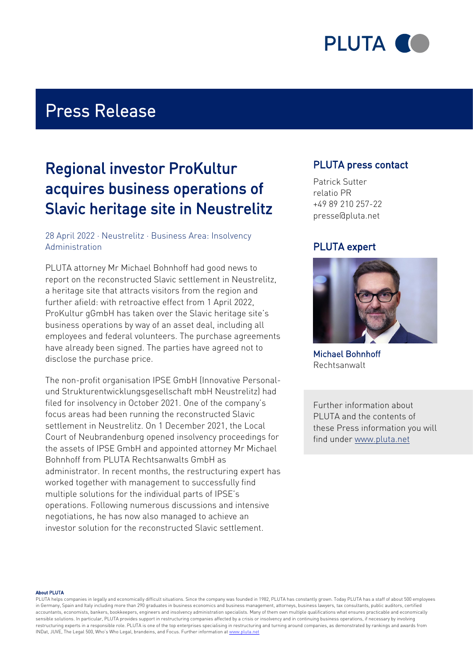

### Press Release

### Regional investor ProKultur acquires business operations of Slavic heritage site in Neustrelitz

#### 28 April 2022 · Neustrelitz · Business Area: Insolvency Administration

PLUTA attorney Mr Michael Bohnhoff had good news to report on the reconstructed Slavic settlement in Neustrelitz, a heritage site that attracts visitors from the region and further afield: with retroactive effect from 1 April 2022, ProKultur gGmbH has taken over the Slavic heritage site's business operations by way of an asset deal, including all employees and federal volunteers. The purchase agreements have already been signed. The parties have agreed not to disclose the purchase price.

The non-profit organisation IPSE GmbH (Innovative Personalund Strukturentwicklungsgesellschaft mbH Neustrelitz) had filed for insolvency in October 2021. One of the company's focus areas had been running the reconstructed Slavic settlement in Neustrelitz. On 1 December 2021, the Local Court of Neubrandenburg opened insolvency proceedings for the assets of IPSE GmbH and appointed attorney Mr Michael Bohnhoff from PLUTA Rechtsanwalts GmbH as administrator. In recent months, the restructuring expert has worked together with management to successfully find multiple solutions for the individual parts of IPSE's operations. Following numerous discussions and intensive negotiations, he has now also managed to achieve an investor solution for the reconstructed Slavic settlement.

### PLUTA press contact

Patrick Sutter relatio PR +49 89 210 257-22 presse@pluta.net

### PLUTA expert



Michael Bohnhoff Rechtsanwalt

Further information about PLUTA and the contents of these Press information you will find under [www.pluta.net](https://www.pluta.net)

#### About PLUTA

PLUTA helps companies in legally and economically difficult situations. Since the company was founded in 1982, PLUTA has constantly grown. Today PLUTA has a staff of about 500 employees in Germany, Spain and Italy including more than 290 graduates in business economics and business management, attorneys, business lawyers, tax consultants, public auditors, certified accountants, economists, bankers, bookkeepers, engineers and insolvency administration specialists. Many of them own multiple qualifications what ensures practicable and economically sensible solutions. In particular, PLUTA provides support in restructuring companies affected by a crisis or insolvency and in continuing business operations, if necessary by involving restructuring experts in a responsible role. PLUTA is one of the top enterprises specialising in restructuring and turning around companies, as demonstrated by rankings and awards from INDat, JUVE, The Legal 500, Who's Who Legal, brandeins, and Focus. Further information at [www.pluta.net](https:/www.pluta.net/en)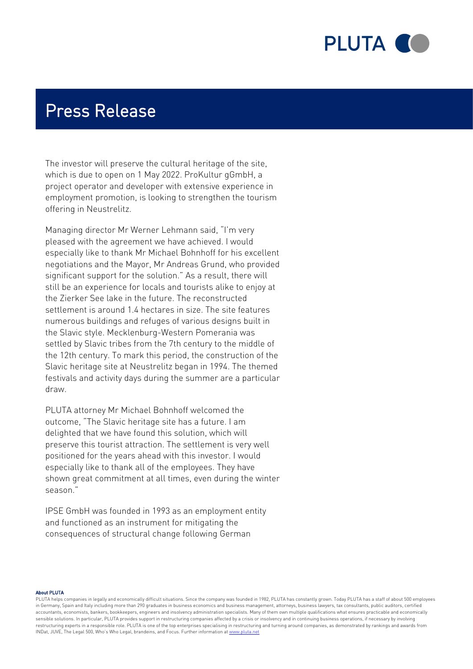

## Press Release

The investor will preserve the cultural heritage of the site, which is due to open on 1 May 2022. ProKultur gGmbH, a project operator and developer with extensive experience in employment promotion, is looking to strengthen the tourism offering in Neustrelitz.

Managing director Mr Werner Lehmann said, "I'm very pleased with the agreement we have achieved. I would especially like to thank Mr Michael Bohnhoff for his excellent negotiations and the Mayor, Mr Andreas Grund, who provided significant support for the solution." As a result, there will still be an experience for locals and tourists alike to enjoy at the Zierker See lake in the future. The reconstructed settlement is around 1.4 hectares in size. The site features numerous buildings and refuges of various designs built in the Slavic style. Mecklenburg-Western Pomerania was settled by Slavic tribes from the 7th century to the middle of the 12th century. To mark this period, the construction of the Slavic heritage site at Neustrelitz began in 1994. The themed festivals and activity days during the summer are a particular draw.

PLUTA attorney Mr Michael Bohnhoff welcomed the outcome, "The Slavic heritage site has a future. I am delighted that we have found this solution, which will preserve this tourist attraction. The settlement is very well positioned for the years ahead with this investor. I would especially like to thank all of the employees. They have shown great commitment at all times, even during the winter season."

IPSE GmbH was founded in 1993 as an employment entity and functioned as an instrument for mitigating the consequences of structural change following German

About PLUTA

PLUTA helps companies in legally and economically difficult situations. Since the company was founded in 1982, PLUTA has constantly grown. Today PLUTA has a staff of about 500 employees in Germany, Spain and Italy including more than 290 graduates in business economics and business management, attorneys, business lawyers, tax consultants, public auditors, certified accountants, economists, bankers, bookkeepers, engineers and insolvency administration specialists. Many of them own multiple qualifications what ensures practicable and economically sensible solutions. In particular, PLUTA provides support in restructuring companies affected by a crisis or insolvency and in continuing business operations, if necessary by involving restructuring experts in a responsible role. PLUTA is one of the top enterprises specialising in restructuring and turning around companies, as demonstrated by rankings and awards from INDat, JUVE, The Legal 500, Who's Who Legal, brandeins, and Focus. Further information at [www.pluta.net](https:/www.pluta.net/en)